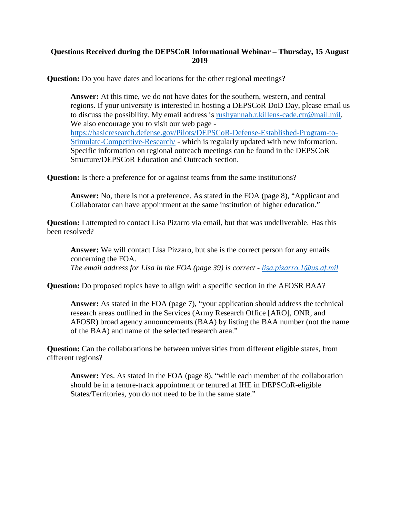## **Questions Received during the DEPSCoR Informational Webinar – Thursday, 15 August 2019**

**Question:** Do you have dates and locations for the other regional meetings?

**Answer:** At this time, we do not have dates for the southern, western, and central regions. If your university is interested in hosting a DEPSCoR DoD Day, please email us to discuss the possibility. My email address is [rushyannah.r.killens-cade.ctr@mail.mil.](mailto:rushyannah.r.killens-cade.ctr@mail.mil) We also encourage you to visit our web page [https://basicresearch.defense.gov/Pilots/DEPSCoR-Defense-Established-Program-to-](https://basicresearch.defense.gov/Pilots/DEPSCoR-Defense-Established-Program-to-Stimulate-Competitive-Research/)[Stimulate-Competitive-Research/](https://basicresearch.defense.gov/Pilots/DEPSCoR-Defense-Established-Program-to-Stimulate-Competitive-Research/) - which is regularly updated with new information. Specific information on regional outreach meetings can be found in the DEPSCoR Structure/DEPSCoR Education and Outreach section.

**Question:** Is there a preference for or against teams from the same institutions?

**Answer:** No, there is not a preference. As stated in the FOA (page 8), "Applicant and Collaborator can have appointment at the same institution of higher education."

**Question:** I attempted to contact Lisa Pizarro via email, but that was undeliverable. Has this been resolved?

**Answer:** We will contact Lisa Pizzaro, but she is the correct person for any emails concerning the FOA. *The email address for Lisa in the FOA (page 39) is correct - [lisa.pizarro.1@us.af.mil](mailto:lisa.pizarro.1@us.af.mil)*

**Question:** Do proposed topics have to align with a specific section in the AFOSR BAA?

**Answer:** As stated in the FOA (page 7), "your application should address the technical research areas outlined in the Services (Army Research Office [ARO], ONR, and AFOSR) broad agency announcements (BAA) by listing the BAA number (not the name of the BAA) and name of the selected research area."

**Question:** Can the collaborations be between universities from different eligible states, from different regions?

**Answer:** Yes. As stated in the FOA (page 8), "while each member of the collaboration should be in a tenure-track appointment or tenured at IHE in DEPSCoR-eligible States/Territories, you do not need to be in the same state."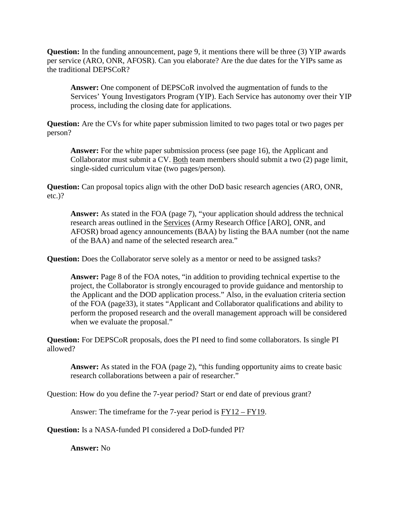**Question:** In the funding announcement, page 9, it mentions there will be three (3) YIP awards per service (ARO, ONR, AFOSR). Can you elaborate? Are the due dates for the YIPs same as the traditional DEPSCoR?

**Answer:** One component of DEPSCoR involved the augmentation of funds to the Services' Young Investigators Program (YIP). Each Service has autonomy over their YIP process, including the closing date for applications.

**Question:** Are the CVs for white paper submission limited to two pages total or two pages per person?

**Answer:** For the white paper submission process (see page 16), the Applicant and Collaborator must submit a CV. Both team members should submit a two (2) page limit, single-sided curriculum vitae (two pages/person).

**Question:** Can proposal topics align with the other DoD basic research agencies (ARO, ONR, etc.)?

**Answer:** As stated in the FOA (page 7), "your application should address the technical research areas outlined in the Services (Army Research Office [ARO], ONR, and AFOSR) broad agency announcements (BAA) by listing the BAA number (not the name of the BAA) and name of the selected research area."

**Question:** Does the Collaborator serve solely as a mentor or need to be assigned tasks?

**Answer:** Page 8 of the FOA notes, "in addition to providing technical expertise to the project, the Collaborator is strongly encouraged to provide guidance and mentorship to the Applicant and the DOD application process." Also, in the evaluation criteria section of the FOA (page33), it states "Applicant and Collaborator qualifications and ability to perform the proposed research and the overall management approach will be considered when we evaluate the proposal."

**Question:** For DEPSCoR proposals, does the PI need to find some collaborators. Is single PI allowed?

**Answer:** As stated in the FOA (page 2), "this funding opportunity aims to create basic research collaborations between a pair of researcher."

Question: How do you define the 7-year period? Start or end date of previous grant?

Answer: The timeframe for the 7-year period is  $FY12 - FY19$ .</u>

**Question:** Is a NASA-funded PI considered a DoD-funded PI?

**Answer:** No